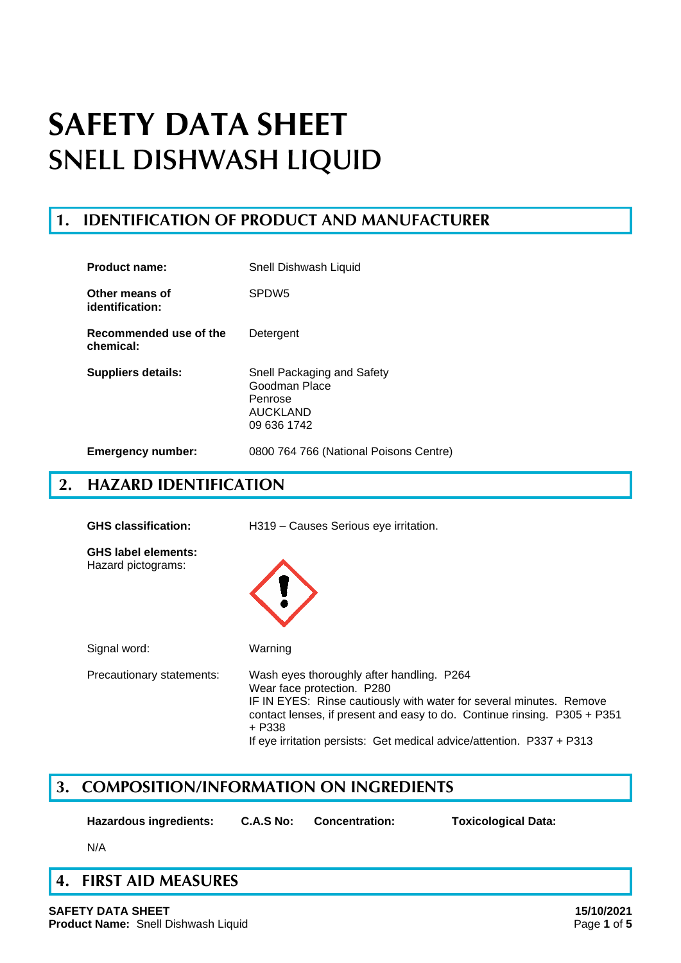### **1. IDENTIFICATION OF PRODUCT AND MANUFACTURER**

| Product name:                       | Snell Dishwash Liquid                                                                    |
|-------------------------------------|------------------------------------------------------------------------------------------|
| Other means of<br>identification:   | SPDW <sub>5</sub>                                                                        |
| Recommended use of the<br>chemical: | Detergent                                                                                |
| Suppliers details:                  | Snell Packaging and Safety<br>Goodman Place<br>Penrose<br><b>AUCKLAND</b><br>09 636 1742 |
| <b>Emergency number:</b>            | 0800 764 766 (National Poisons Centre)                                                   |

### **2. HAZARD IDENTIFICATION**

| <b>GHS classification:</b>                       | H319 - Causes Serious eye irritation.                                                                                                                                                                                                                                                                         |  |
|--------------------------------------------------|---------------------------------------------------------------------------------------------------------------------------------------------------------------------------------------------------------------------------------------------------------------------------------------------------------------|--|
| <b>GHS label elements:</b><br>Hazard pictograms: |                                                                                                                                                                                                                                                                                                               |  |
| Signal word:                                     | Warning                                                                                                                                                                                                                                                                                                       |  |
| Precautionary statements:                        | Wash eyes thoroughly after handling. P264<br>Wear face protection. P280<br>IF IN EYES: Rinse cautiously with water for several minutes. Remove<br>contact lenses, if present and easy to do. Continue rinsing. P305 + P351<br>+ P338<br>If eye irritation persists: Get medical advice/attention. P337 + P313 |  |

## **3. COMPOSITION/INFORMATION ON INGREDIENTS**

**Hazardous ingredients: C.A.S No: Concentration: Toxicological Data:**

N/A

## **4. FIRST AID MEASURES**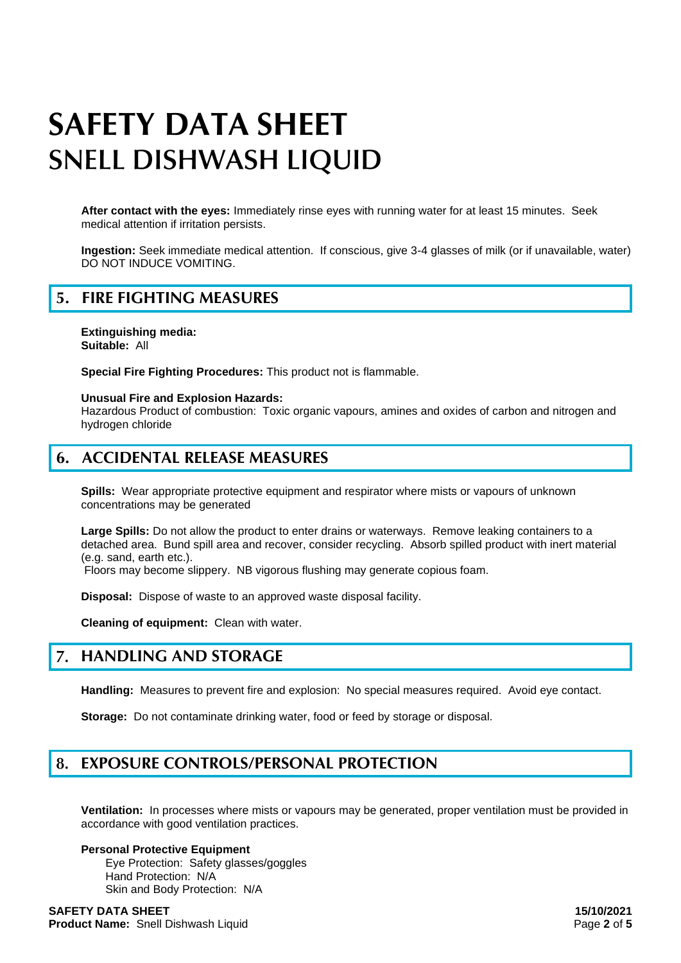**After contact with the eyes:** Immediately rinse eyes with running water for at least 15 minutes. Seek medical attention if irritation persists.

**Ingestion:** Seek immediate medical attention. If conscious, give 3-4 glasses of milk (or if unavailable, water) DO NOT INDUCE VOMITING.

### **5. FIRE FIGHTING MEASURES**

**Extinguishing media: Suitable:** All

**Special Fire Fighting Procedures:** This product not is flammable.

**Unusual Fire and Explosion Hazards:**

Hazardous Product of combustion: Toxic organic vapours, amines and oxides of carbon and nitrogen and hydrogen chloride

### **6. ACCIDENTAL RELEASE MEASURES**

**Spills:** Wear appropriate protective equipment and respirator where mists or vapours of unknown concentrations may be generated

**Large Spills:** Do not allow the product to enter drains or waterways. Remove leaking containers to a detached area. Bund spill area and recover, consider recycling. Absorb spilled product with inert material (e.g. sand, earth etc.).

Floors may become slippery. NB vigorous flushing may generate copious foam.

**Disposal:** Dispose of waste to an approved waste disposal facility.

**Cleaning of equipment:** Clean with water.

#### $\overline{7}$ . **HANDLING AND STORAGE**

**Handling:** Measures to prevent fire and explosion: No special measures required. Avoid eye contact.

**Storage:** Do not contaminate drinking water, food or feed by storage or disposal.

#### **EXPOSURE CONTROLS/PERSONAL PROTECTION** 8.

**Ventilation:** In processes where mists or vapours may be generated, proper ventilation must be provided in accordance with good ventilation practices.

#### **Personal Protective Equipment** Eye Protection: Safety glasses/goggles Hand Protection: N/A Skin and Body Protection: N/A

**SAFETY DATA SHEET 15/10/2021 Product Name:** Snell Dishwash Liquid **Page 2** of **5** and **Page 2** of **5**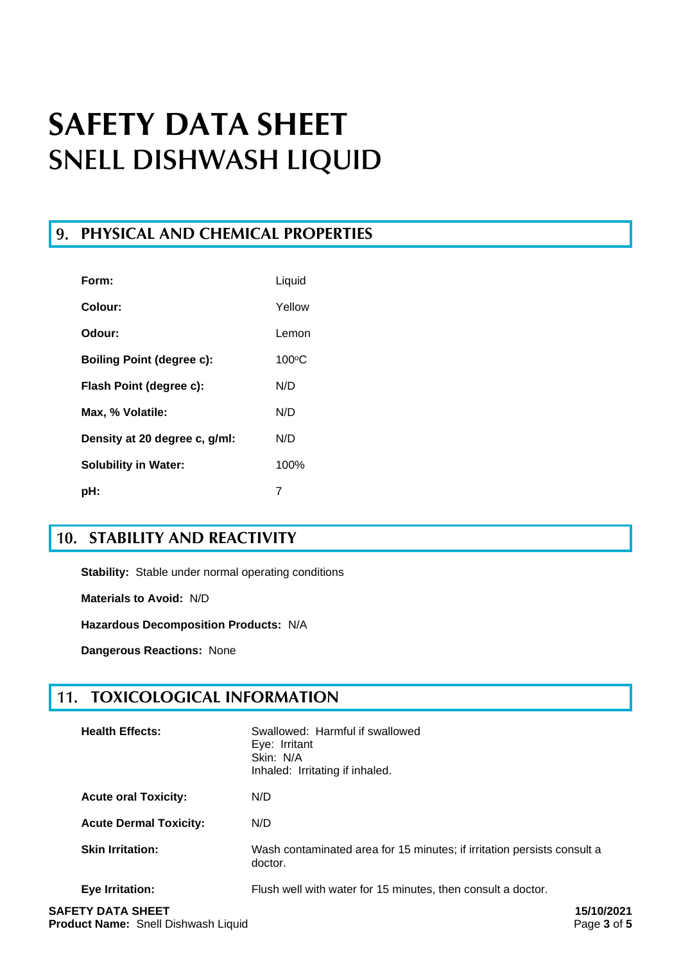### **PHYSICAL AND CHEMICAL PROPERTIES**

| Form:                            | Liquid |
|----------------------------------|--------|
| Colour:                          | Yellow |
| Odour:                           | Lemon  |
| <b>Boiling Point (degree c):</b> | 100°C  |
| Flash Point (degree c):          | N/D    |
| Max, % Volatile:                 | N/D    |
| Density at 20 degree c, g/ml:    | N/D    |
| <b>Solubility in Water:</b>      | 100%   |
| :bH                              | 7      |

## **10. STABILITY AND REACTIVITY**

**Stability:** Stable under normal operating conditions

**Materials to Avoid:** N/D

**Hazardous Decomposition Products:** N/A

**Dangerous Reactions:** None

#### **TOXICOLOGICAL INFORMATION** 11.

| <b>Health Effects:</b>        | Swallowed: Harmful if swallowed<br>Eye: Irritant<br>Skin: N/A<br>Inhaled: Irritating if inhaled. |
|-------------------------------|--------------------------------------------------------------------------------------------------|
| <b>Acute oral Toxicity:</b>   | N/D                                                                                              |
| <b>Acute Dermal Toxicity:</b> | N/D                                                                                              |
| <b>Skin Irritation:</b>       | Wash contaminated area for 15 minutes; if irritation persists consult a<br>doctor.               |
| Eye Irritation:               | Flush well with water for 15 minutes, then consult a doctor.                                     |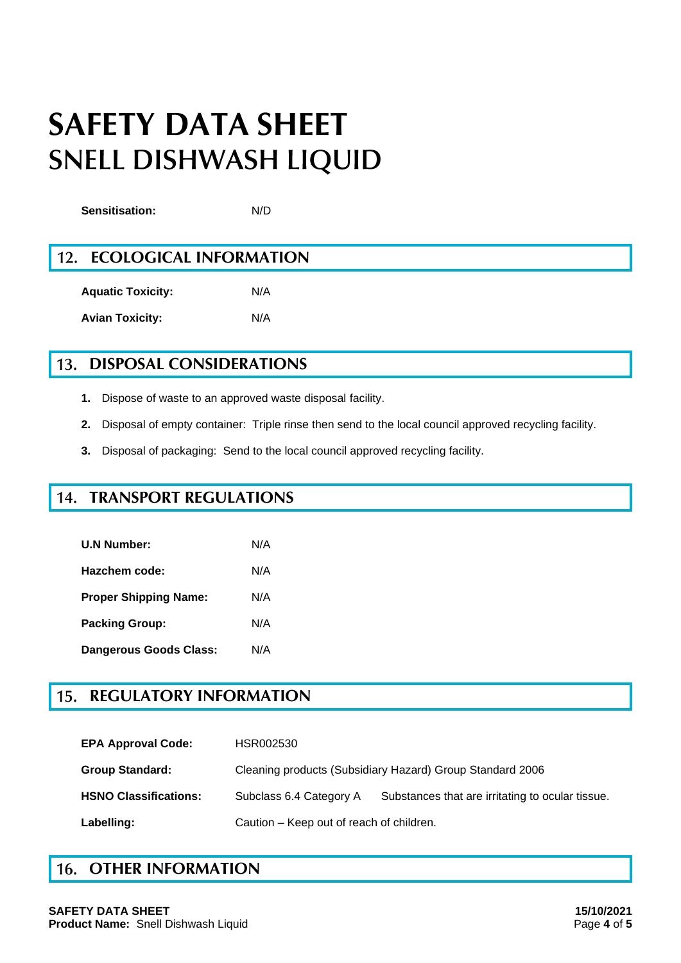**Sensitisation:** N/D

#### $12.$ **ECOLOGICAL INFORMATION**

**Aquatic Toxicity:** N/A **Avian Toxicity:** N/A

#### 13. **DISPOSAL CONSIDERATIONS**

- **1.** Dispose of waste to an approved waste disposal facility.
- **2.** Disposal of empty container: Triple rinse then send to the local council approved recycling facility.
- **3.** Disposal of packaging: Send to the local council approved recycling facility.

#### **TRANSPORT REGULATIONS** 14.

| <b>U.N Number:</b>           | N/A. |
|------------------------------|------|
| Hazchem code:                | N/A. |
| <b>Proper Shipping Name:</b> | N/A  |
| <b>Packing Group:</b>        | N/A  |
| Dangerous Goods Class:       | N/A. |

#### **REGULATORY INFORMATION** 15.

| <b>EPA Approval Code:</b>    | HSR002530                                                 |                                                  |
|------------------------------|-----------------------------------------------------------|--------------------------------------------------|
| <b>Group Standard:</b>       | Cleaning products (Subsidiary Hazard) Group Standard 2006 |                                                  |
| <b>HSNO Classifications:</b> | Subclass 6.4 Category A                                   | Substances that are irritating to ocular tissue. |
| Labelling:                   | Caution – Keep out of reach of children.                  |                                                  |

### **16. OTHER INFORMATION**